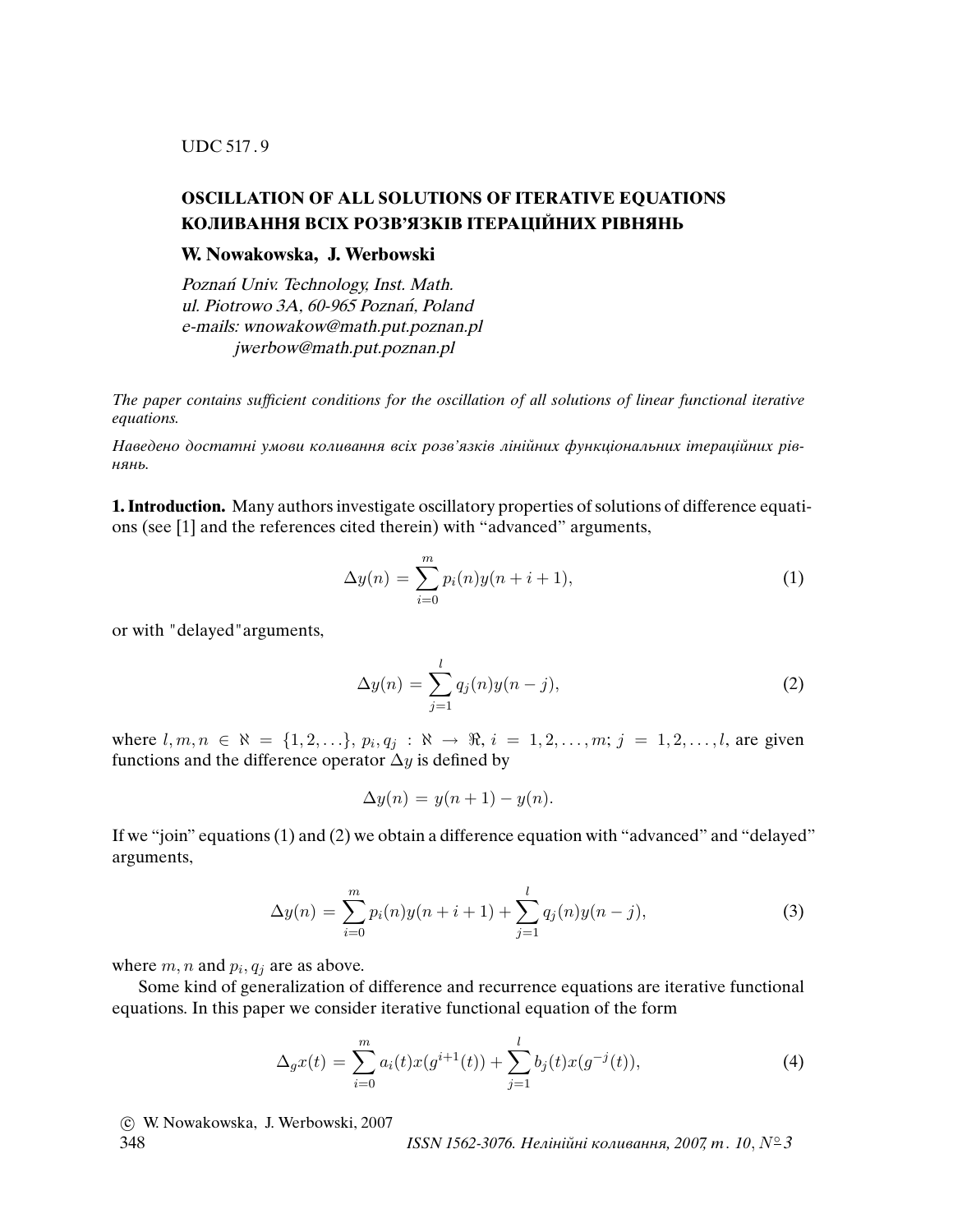UDC 517 . 9

# **OSCILLATION OF ALL SOLUTIONS OF ITERATIVE EQUATIONS КОЛИВАННЯ ВСIХ РОЗВ'ЯЗКIВ IТЕРАЦIЙНИХ РIВНЯНЬ**

## **W. Nowakowska, J. Werbowski**

Poznań Univ. Technology, Inst. Math. ul. Piotrowo 3A, 60-965 Poznań, Poland e-mails: wnowakow@math.put.poznan.pl jwerbow@math.put.poznan.pl

The paper contains suf*fi*cient conditions for the oscillation of all solutions of linear functional iterative equations.

Наведено достатнi умови коливання всiх розв'язкiв лiнiйних функцiональних iтерацiйних рiвнянь.

**1. Introduction.** Many authors investigate oscillatory properties of solutions of difference equations (see [1] and the references cited therein) with "advanced" arguments,

$$
\Delta y(n) = \sum_{i=0}^{m} p_i(n)y(n+i+1),
$$
\n(1)

or with "delayed"arguments,

$$
\Delta y(n) = \sum_{j=1}^{l} q_j(n)y(n-j),
$$
 (2)

where  $l, m, n \in \mathbb{N} = \{1, 2, ...\}$ ,  $p_i, q_j : \mathbb{N} \to \mathbb{R}$ ,  $i = 1, 2, ..., m$ ;  $j = 1, 2, ..., l$ , are given functions and the difference operator  $\Delta y$  is defined by

$$
\Delta y(n) = y(n+1) - y(n).
$$

If we "join" equations (1) and (2) we obtain a difference equation with "advanced" and "delayed" arguments,

$$
\Delta y(n) = \sum_{i=0}^{m} p_i(n) y(n+i+1) + \sum_{j=1}^{l} q_j(n) y(n-j), \tag{3}
$$

where  $m, n$  and  $p_i, q_j$  are as above.

Some kind of generalization of difference and recurrence equations are iterative functional equations. In this paper we consider iterative functional equation of the form

$$
\Delta_g x(t) = \sum_{i=0}^{m} a_i(t) x(g^{i+1}(t)) + \sum_{j=1}^{l} b_j(t) x(g^{-j}(t)),
$$
\n(4)

c W. Nowakowska, J. Werbowski, 2007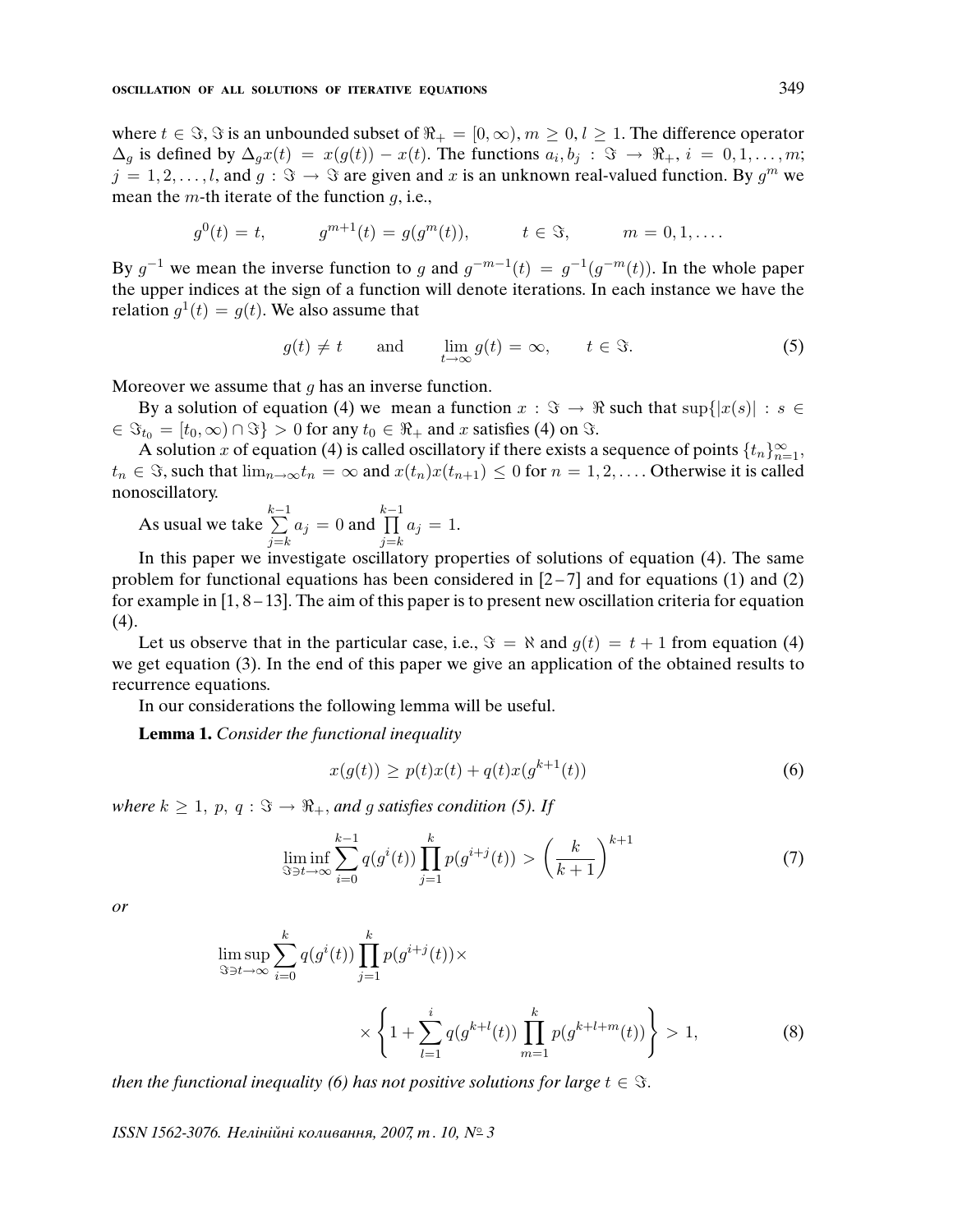where  $t \in \Im$ ,  $\Im$  is an unbounded subset of  $\Re_+ = [0, \infty)$ ,  $m \geq 0$ ,  $l \geq 1$ . The difference operator  $\Delta_g$  is defined by  $\Delta_g x(t) = x(g(t)) - x(t)$ . The functions  $a_i, b_j : \Im \rightarrow \Re_+, i = 0, 1, \ldots, m;$  $j = 1, 2, \ldots, l$ , and  $g : \Im \rightarrow \Im$  are given and x is an unknown real-valued function. By  $g^m$  we mean the  $m$ -th iterate of the function  $g$ , i.e.,

$$
g^{0}(t) = t,
$$
  $g^{m+1}(t) = g(g^{m}(t)),$   $t \in \Im,$   $m = 0, 1, ....$ 

By  $g^{-1}$  we mean the inverse function to g and  $g^{-m-1}(t) = g^{-1}(g^{-m}(t))$ . In the whole paper the upper indices at the sign of a function will denote iterations. In each instance we have the relation  $g^1(t) = g(t)$ . We also assume that

$$
g(t) \neq t
$$
 and  $\lim_{t \to \infty} g(t) = \infty$ ,  $t \in \Im$ . (5)

Moreover we assume that  $q$  has an inverse function.

By a solution of equation (4) we mean a function  $x : \Im \rightarrow \Re$  such that  $\sup\{|x(s)| : s \in \mathbb{R}\}$  $\in \Im_{t_0} = [t_0, \infty) \cap \Im \} > 0$  for any  $t_0 \in \Re_+$  and x satisfies (4) on  $\Im$ .

A solution x of equation (4) is called oscillatory if there exists a sequence of points  $\{t_n\}_{n=1}^{\infty}$ ,  $t_n \in \Im$ , such that  $\lim_{n\to\infty} t_n = \infty$  and  $x(t_n)x(t_{n+1}) \leq 0$  for  $n = 1, 2, \ldots$  Otherwise it is called nonoscillatory.

As usual we take  $\sum_{i=1}^{k-1}$  $j=k$  $a_j = 0$  and  $\prod^{k-1}$  $j=k$  $a_j = 1$ .

In this paper we investigate oscillatory properties of solutions of equation (4). The same problem for functional equations has been considered in  $[2-7]$  and for equations (1) and (2) for example in  $[1, 8-13]$ . The aim of this paper is to present new oscillation criteria for equation  $(4).$ 

Let us observe that in the particular case, i.e.,  $\Im = \aleph$  and  $q(t) = t + 1$  from equation (4) we get equation (3). In the end of this paper we give an application of the obtained results to recurrence equations.

In our considerations the following lemma will be useful.

**Lemma 1.** Consider the functional inequality

$$
x(g(t)) \ge p(t)x(t) + q(t)x(g^{k+1}(t))
$$
\n(6)

where  $k \geq 1$ ,  $p, q : \Im \rightarrow \Re_+$ , and g satisfies condition (5). If

$$
\liminf_{S \ni t \to \infty} \sum_{i=0}^{k-1} q(g^i(t)) \prod_{j=1}^k p(g^{i+j}(t)) > \left(\frac{k}{k+1}\right)^{k+1}
$$
 (7)

or

$$
\limsup_{S \ni t \to \infty} \sum_{i=0}^{k} q(g^{i}(t)) \prod_{j=1}^{k} p(g^{i+j}(t)) \times \times \left\{ 1 + \sum_{l=1}^{i} q(g^{k+l}(t)) \prod_{m=1}^{k} p(g^{k+l+m}(t)) \right\} > 1,
$$
\n(8)

then the functional inequality (6) has not positive solutions for large  $t \in \Im$ .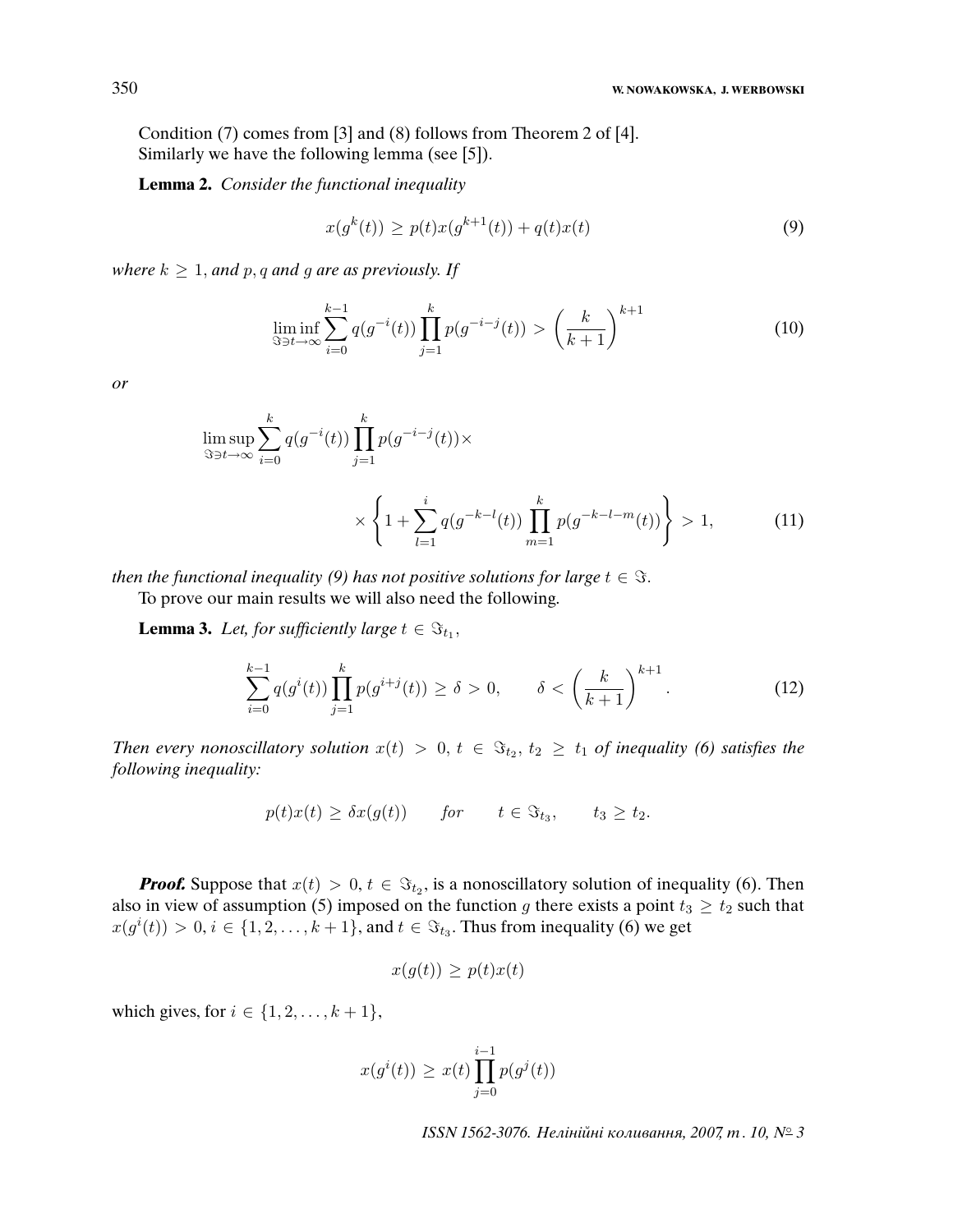Condition (7) comes from [3] and (8) follows from Theorem 2 of [4]. Similarly we have the following lemma (see [5]).

**Lemma 2.** Consider the functional inequality

$$
x(g^{k}(t)) \ge p(t)x(g^{k+1}(t)) + q(t)x(t)
$$
\n(9)

where  $k \geq 1$ , and p, q and g are as previously. If

$$
\liminf_{s \to t \to \infty} \sum_{i=0}^{k-1} q(g^{-i}(t)) \prod_{j=1}^k p(g^{-i-j}(t)) > \left(\frac{k}{k+1}\right)^{k+1}
$$
(10)

or

$$
\limsup_{S \ni t \to \infty} \sum_{i=0}^{k} q(g^{-i}(t)) \prod_{j=1}^{k} p(g^{-i-j}(t)) \times \left\{ 1 + \sum_{l=1}^{i} q(g^{-k-l}(t)) \prod_{m=1}^{k} p(g^{-k-l-m}(t)) \right\} > 1,
$$
\n(11)

then the functional inequality (9) has not positive solutions for large  $t \in \Im$ .

To prove our main results we will also need the following.

**Lemma 3.** Let, for sufficiently large  $t \in \Im_{t_1}$ ,

$$
\sum_{i=0}^{k-1} q(g^i(t)) \prod_{j=1}^k p(g^{i+j}(t)) \ge \delta > 0, \qquad \delta < \left(\frac{k}{k+1}\right)^{k+1}.
$$
 (12)

Then every nonoscillatory solution  $x(t) > 0, t \in \Im_{t_2}, t_2 \geq t_1$  of inequality (6) satisfies the following inequality:

$$
p(t)x(t) \geq \delta x(g(t)) \quad \text{for} \quad t \in \mathfrak{S}_{t_3}, \quad t_3 \geq t_2.
$$

**Proof.** Suppose that  $x(t) > 0, t \in \mathcal{F}_{t_2}$ , is a nonoscillatory solution of inequality (6). Then also in view of assumption (5) imposed on the function g there exists a point  $t_3 \geq t_2$  such that  $x(g^{i}(t)) > 0, i \in \{1, 2, ..., k + 1\}$ , and  $t \in \Im_{t_3}$ . Thus from inequality (6) we get

$$
x(g(t)) \ge p(t)x(t)
$$

which gives, for  $i \in \{1, 2, \ldots, k+1\}$ ,

$$
x(g^{i}(t)) \geq x(t) \prod_{j=0}^{i-1} p(g^{j}(t))
$$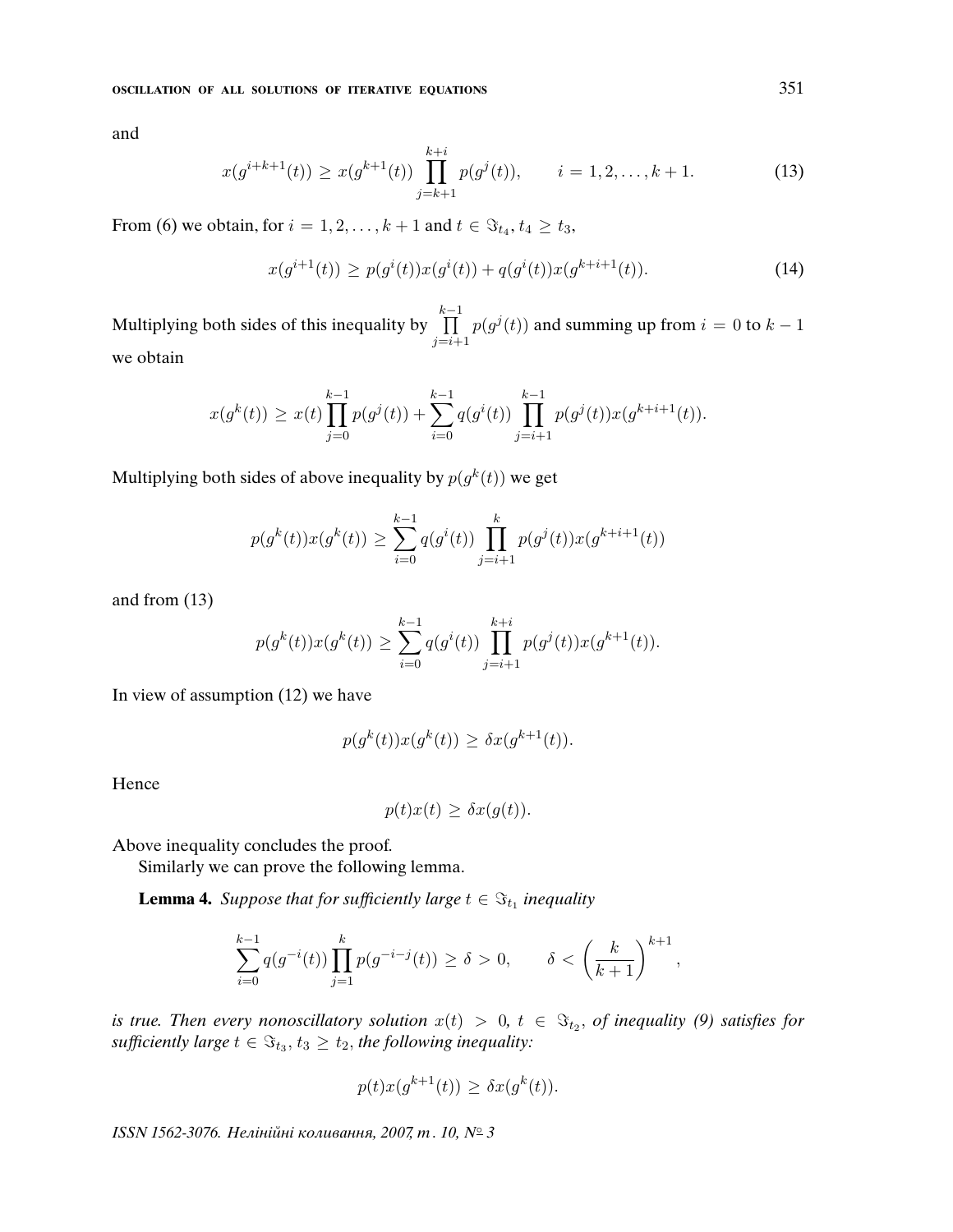and

$$
x(g^{i+k+1}(t)) \ge x(g^{k+1}(t)) \prod_{j=k+1}^{k+i} p(g^j(t)), \qquad i = 1, 2, \dots, k+1.
$$
 (13)

From (6) we obtain, for  $i = 1, 2, \ldots, k + 1$  and  $t \in \Im_{t_4}, t_4 \geq t_3$ ,

$$
x(g^{i+1}(t)) \ge p(g^i(t))x(g^i(t)) + q(g^i(t))x(g^{k+i+1}(t)).
$$
\n(14)

Multiplying both sides of this inequality by  $\prod^{k-1}$  $j=i+1$  $p(g^j(t))$  and summing up from  $i = 0$  to  $k - 1$ we obtain

$$
x(g^{k}(t)) \geq x(t) \prod_{j=0}^{k-1} p(g^{j}(t)) + \sum_{i=0}^{k-1} q(g^{i}(t)) \prod_{j=i+1}^{k-1} p(g^{j}(t)) x(g^{k+i+1}(t)).
$$

Multiplying both sides of above inequality by  $p(g^k(t))$  we get

$$
p(g^{k}(t))x(g^{k}(t)) \geq \sum_{i=0}^{k-1} q(g^{i}(t)) \prod_{j=i+1}^{k} p(g^{j}(t))x(g^{k+i+1}(t))
$$

and from (13)

$$
p(g^{k}(t))x(g^{k}(t)) \geq \sum_{i=0}^{k-1} q(g^{i}(t)) \prod_{j=i+1}^{k+i} p(g^{j}(t))x(g^{k+1}(t)).
$$

In view of assumption (12) we have

$$
p(g^k(t))x(g^k(t)) \ge \delta x(g^{k+1}(t)).
$$

Hence

$$
p(t)x(t) \geq \delta x(g(t)).
$$

Above inequality concludes the proof.

Similarly we can prove the following lemma.

**Lemma 4.** Suppose that for sufficiently large  $t \in \Im_{t_1}$  inequality

$$
\sum_{i=0}^{k-1}q(g^{-i}(t))\prod_{j=1}^kp(g^{-i-j}(t))\geq \delta>0,\qquad \delta<\left(\frac{k}{k+1}\right)^{k+1},
$$

is true. Then every nonoscillatory solution  $x(t) > 0$ ,  $t \in \Im_{t_2}$ , of inequality (9) satisfies for sufficiently large  $t \in \Im_{t_3}, t_3 \geq t_2$ , the following inequality:

$$
p(t)x(g^{k+1}(t)) \geq \delta x(g^k(t)).
$$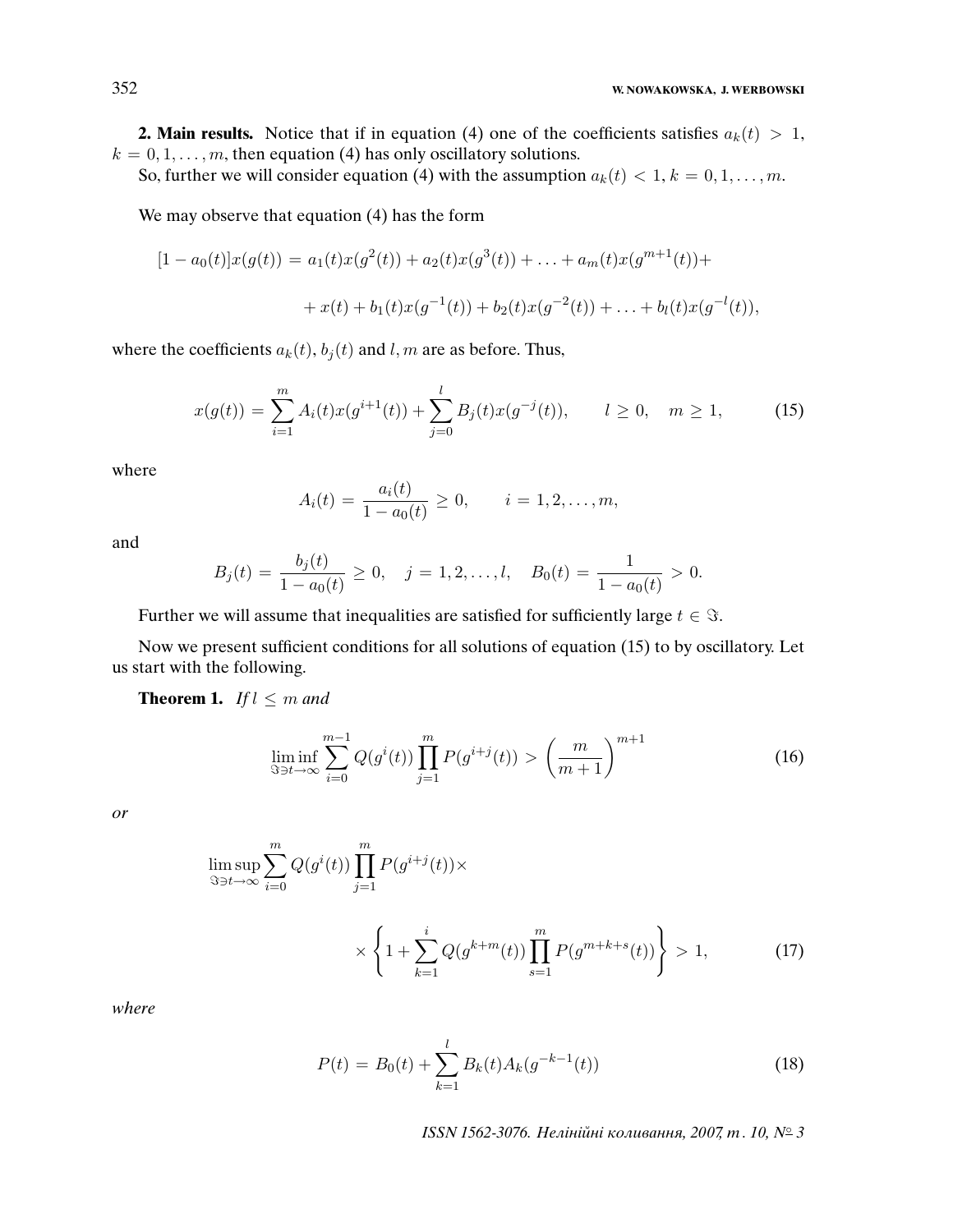### 352 **W. NOWAKOWSKA, J. WERBOWSKI**

**2. Main results.** Notice that if in equation (4) one of the coefficients satisfies  $a_k(t) > 1$ ,  $k = 0, 1, \ldots, m$ , then equation (4) has only oscillatory solutions.

So, further we will consider equation (4) with the assumption  $a_k(t) < 1, k = 0, 1, \ldots, m$ .

We may observe that equation (4) has the form

$$
[1 - a_0(t)]x(g(t)) = a_1(t)x(g^2(t)) + a_2(t)x(g^3(t)) + \dots + a_m(t)x(g^{m+1}(t)) ++ x(t) + b_1(t)x(g^{-1}(t)) + b_2(t)x(g^{-2}(t)) + \dots + b_l(t)x(g^{-l}(t)),
$$

where the coefficients  $a_k(t)$ ,  $b_i(t)$  and l, m are as before. Thus,

$$
x(g(t)) = \sum_{i=1}^{m} A_i(t)x(g^{i+1}(t)) + \sum_{j=0}^{l} B_j(t)x(g^{-j}(t)), \qquad l \ge 0, \quad m \ge 1,
$$
 (15)

where

$$
A_i(t) = \frac{a_i(t)}{1 - a_0(t)} \ge 0, \qquad i = 1, 2, \dots, m,
$$

and

$$
B_j(t) = \frac{b_j(t)}{1 - a_0(t)} \ge 0, \quad j = 1, 2, \dots, l, \quad B_0(t) = \frac{1}{1 - a_0(t)} > 0.
$$

Further we will assume that inequalities are satisfied for sufficiently large  $t \in \Im$ .

Now we present sufficient conditions for all solutions of equation (15) to by oscillatory. Let us start with the following.

**Theorem 1.** If  $l \leq m$  and

$$
\liminf_{S \ni t \to \infty} \sum_{i=0}^{m-1} Q(g^i(t)) \prod_{j=1}^m P(g^{i+j}(t)) > \left(\frac{m}{m+1}\right)^{m+1}
$$
(16)

or

$$
\limsup_{S \ni t \to \infty} \sum_{i=0}^{m} Q(g^{i}(t)) \prod_{j=1}^{m} P(g^{i+j}(t)) \times \times \left\{ 1 + \sum_{k=1}^{i} Q(g^{k+m}(t)) \prod_{s=1}^{m} P(g^{m+k+s}(t)) \right\} > 1,
$$
\n(17)

where

$$
P(t) = B_0(t) + \sum_{k=1}^{l} B_k(t) A_k(g^{-k-1}(t))
$$
\n(18)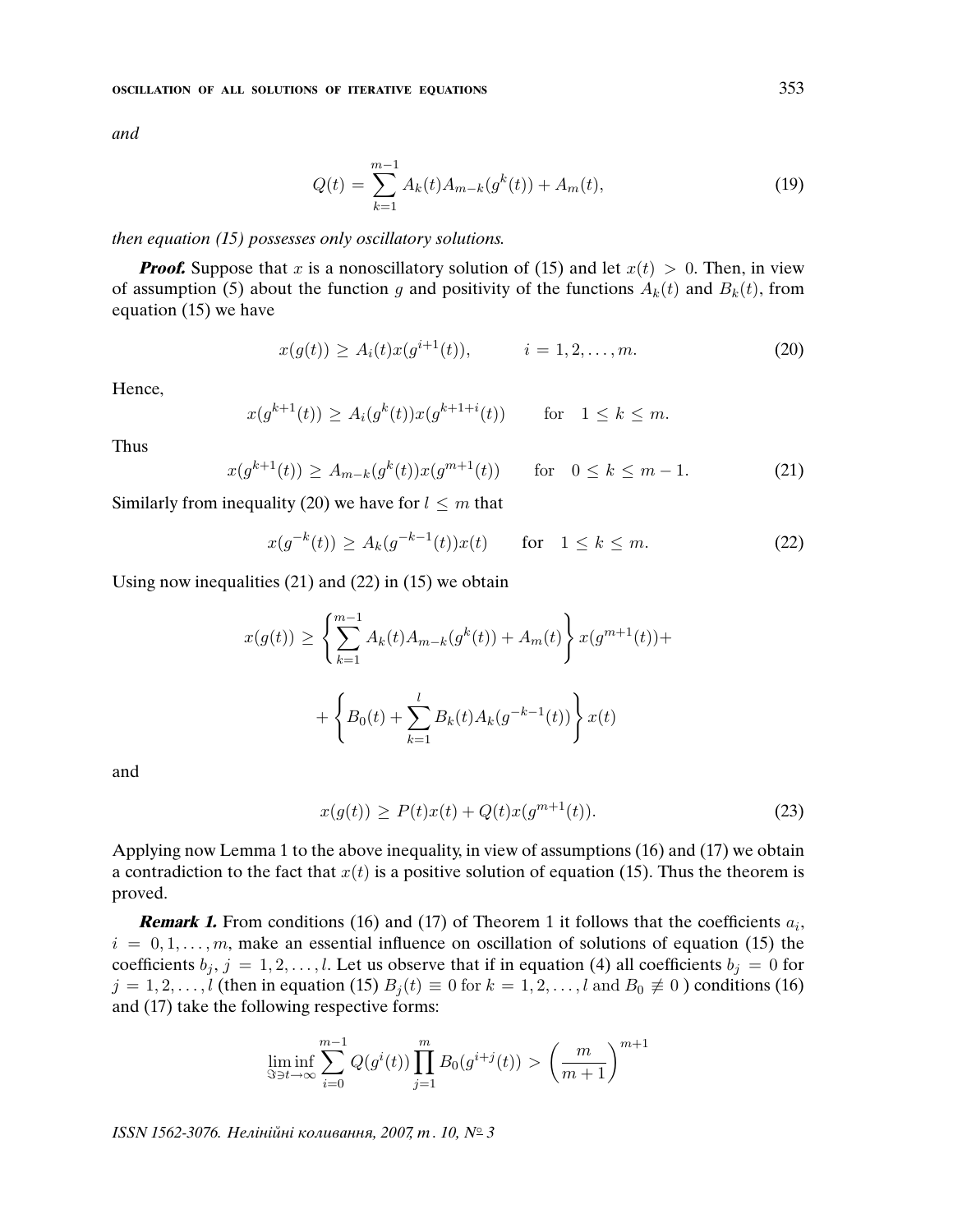and

$$
Q(t) = \sum_{k=1}^{m-1} A_k(t) A_{m-k}(g^k(t)) + A_m(t),
$$
\n(19)

### then equation (15) possesses only oscillatory solutions.

**Proof.** Suppose that x is a nonoscillatory solution of (15) and let  $x(t) > 0$ . Then, in view of assumption (5) about the function g and positivity of the functions  $A_k(t)$  and  $B_k(t)$ , from equation (15) we have

$$
x(g(t)) \ge A_i(t)x(g^{i+1}(t)), \qquad i = 1, 2, \dots, m.
$$
 (20)

Hence,

$$
x(g^{k+1}(t)) \ge A_i(g^k(t))x(g^{k+1+i}(t))
$$
 for  $1 \le k \le m$ .

Thus

$$
x(g^{k+1}(t)) \ge A_{m-k}(g^k(t))x(g^{m+1}(t)) \quad \text{for} \quad 0 \le k \le m-1. \tag{21}
$$

Similarly from inequality (20) we have for  $l \leq m$  that

$$
x(g^{-k}(t)) \ge A_k(g^{-k-1}(t))x(t) \quad \text{for} \quad 1 \le k \le m. \tag{22}
$$

Using now inequalities (21) and (22) in (15) we obtain

$$
x(g(t)) \ge \left\{ \sum_{k=1}^{m-1} A_k(t) A_{m-k}(g^k(t)) + A_m(t) \right\} x(g^{m+1}(t)) +
$$
  
+ 
$$
\left\{ B_0(t) + \sum_{k=1}^{l} B_k(t) A_k(g^{-k-1}(t)) \right\} x(t)
$$

and

$$
x(g(t)) \ge P(t)x(t) + Q(t)x(g^{m+1}(t)).
$$
\n(23)

Applying now Lemma 1 to the above inequality, in view of assumptions (16) and (17) we obtain a contradiction to the fact that  $x(t)$  is a positive solution of equation (15). Thus the theorem is proved.

**Remark 1.** From conditions (16) and (17) of Theorem 1 it follows that the coefficients  $a_i$ ,  $i = 0, 1, \ldots, m$ , make an essential influence on oscillation of solutions of equation (15) the coefficients  $b_j$ ,  $j = 1, 2, \ldots, l$ . Let us observe that if in equation (4) all coefficients  $b_j = 0$  for  $j = 1, 2, \ldots, l$  (then in equation (15)  $B_i(t) \equiv 0$  for  $k = 1, 2, \ldots, l$  and  $B_0 \not\equiv 0$ ) conditions (16) and (17) take the following respective forms:

$$
\liminf_{S \ni t \to \infty} \sum_{i=0}^{m-1} Q(g^i(t)) \prod_{j=1}^m B_0(g^{i+j}(t)) > \left(\frac{m}{m+1}\right)^{m+1}
$$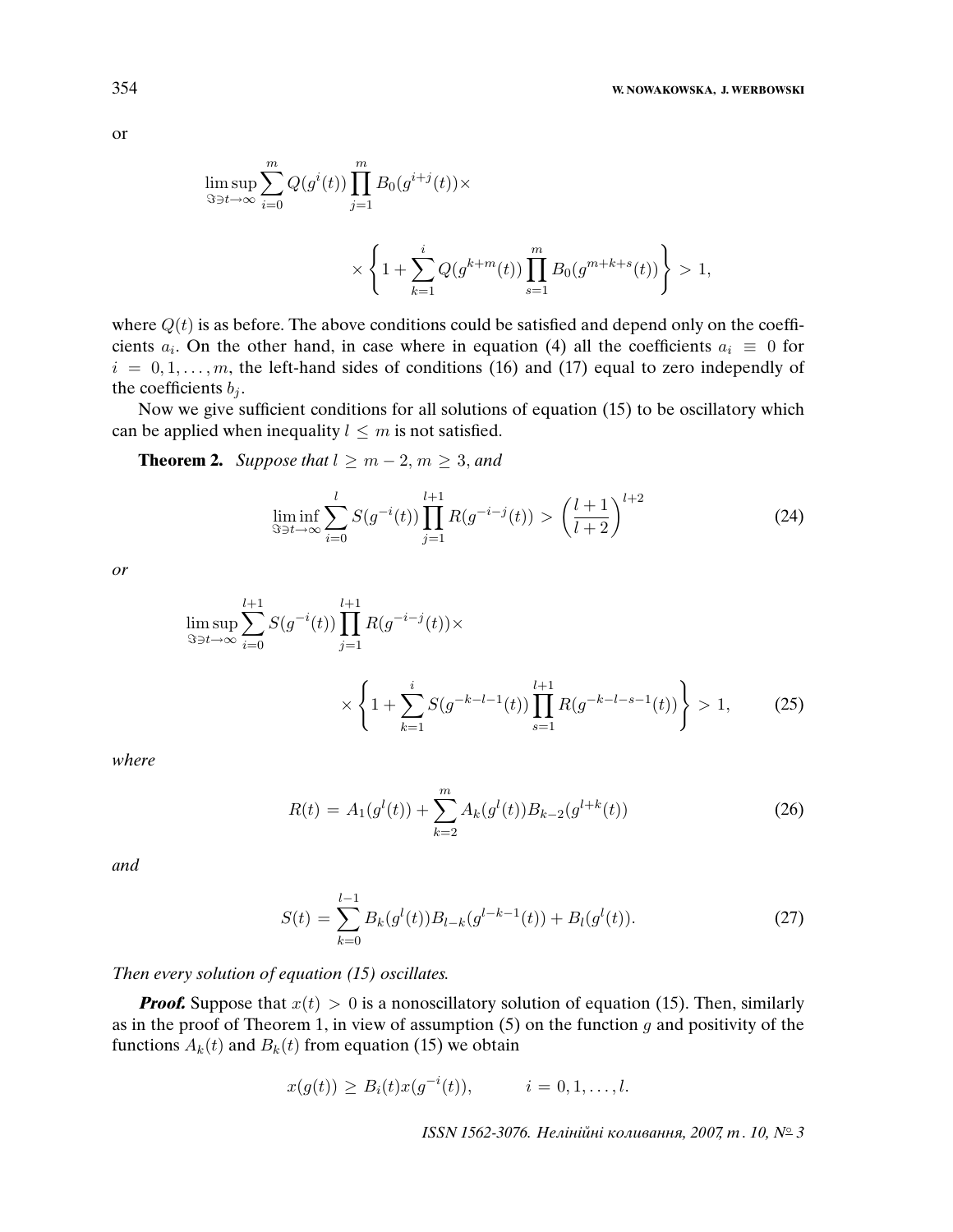> 1,

$$
\begin{aligned} \limsup_{\Im\ni t\to\infty}\sum_{i=0}^m Q(g^i(t))\prod_{j=1}^m B_0(g^{i+j}(t)) \times\\ \times \left\{1+\sum_{k=1}^i Q(g^{k+m}(t))\prod_{s=1}^m B_0(g^{m+k+s}(t))\right\} \end{aligned}>
$$

where  $Q(t)$  is as before. The above conditions could be satisfied and depend only on the coefficients  $a_i$ . On the other hand, in case where in equation (4) all the coefficients  $a_i \equiv 0$  for  $i = 0, 1, \ldots, m$ , the left-hand sides of conditions (16) and (17) equal to zero independly of the coefficients  $b_j$ .

Now we give sufficient conditions for all solutions of equation (15) to be oscillatory which can be applied when inequality  $l \leq m$  is not satisfied.

**Theorem 2.** Suppose that  $l \geq m-2, m \geq 3$ , and

$$
\liminf_{\Im \ni t \to \infty} \sum_{i=0}^{l} S(g^{-i}(t)) \prod_{j=1}^{l+1} R(g^{-i-j}(t)) > \left(\frac{l+1}{l+2}\right)^{l+2} \tag{24}
$$

or

$$
\limsup_{S \ni t \to \infty} \sum_{i=0}^{l+1} S(g^{-i}(t)) \prod_{j=1}^{l+1} R(g^{-i-j}(t)) \times \times \left\{ 1 + \sum_{k=1}^{i} S(g^{-k-l-1}(t)) \prod_{s=1}^{l+1} R(g^{-k-l-s-1}(t)) \right\} > 1,
$$
 (25)

where

$$
R(t) = A_1(g^{l}(t)) + \sum_{k=2}^{m} A_k(g^{l}(t))B_{k-2}(g^{l+k}(t))
$$
\n(26)

and

$$
S(t) = \sum_{k=0}^{l-1} B_k(g^l(t)) B_{l-k}(g^{l-k-1}(t)) + B_l(g^l(t)).
$$
\n(27)

Then every solution of equation (15) oscillates.

**Proof.** Suppose that  $x(t) > 0$  is a nonoscillatory solution of equation (15). Then, similarly as in the proof of Theorem 1, in view of assumption  $(5)$  on the function g and positivity of the functions  $A_k(t)$  and  $B_k(t)$  from equation (15) we obtain

$$
x(g(t)) \geq B_i(t)x(g^{-i}(t)), \qquad i = 0, 1, \ldots, l.
$$

ISSN 1562-3076. Нелінійні коливання, 2007, т. 10, № 3

or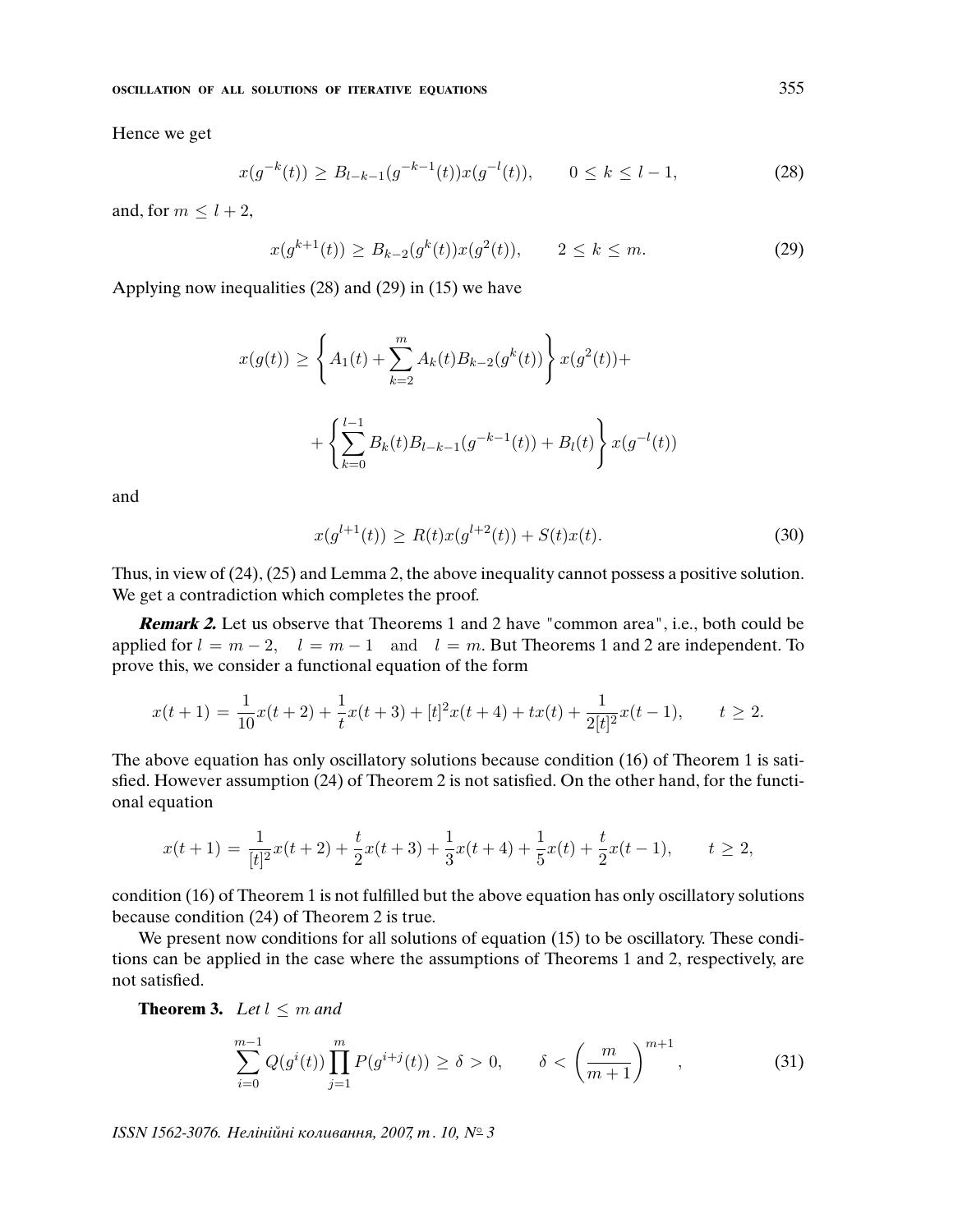Hence we get

$$
x(g^{-k}(t)) \ge B_{l-k-1}(g^{-k-1}(t))x(g^{-l}(t)), \qquad 0 \le k \le l-1,
$$
\n(28)

and, for  $m \leq l+2$ ,

$$
x(g^{k+1}(t)) \ge B_{k-2}(g^k(t))x(g^2(t)), \qquad 2 \le k \le m.
$$
 (29)

Applying now inequalities (28) and (29) in (15) we have

$$
x(g(t)) \ge \left\{ A_1(t) + \sum_{k=2}^m A_k(t) B_{k-2}(g^k(t)) \right\} x(g^2(t)) +
$$
  
+ 
$$
\left\{ \sum_{k=0}^{l-1} B_k(t) B_{l-k-1}(g^{-k-1}(t)) + B_l(t) \right\} x(g^{-l}(t))
$$

and

$$
x(g^{l+1}(t)) \ge R(t)x(g^{l+2}(t)) + S(t)x(t).
$$
\n(30)

Thus, in view of (24), (25) and Lemma 2, the above inequality cannot possess a positive solution. We get a contradiction which completes the proof.

**Remark 2.** Let us observe that Theorems 1 and 2 have "common area", i.e., both could be applied for  $l = m - 2$ ,  $l = m - 1$  and  $l = m$ . But Theorems 1 and 2 are independent. To prove this, we consider a functional equation of the form

$$
x(t+1) = \frac{1}{10}x(t+2) + \frac{1}{t}x(t+3) + [t]^2x(t+4) + tx(t) + \frac{1}{2[t]^2}x(t-1), \qquad t \ge 2.
$$

The above equation has only oscillatory solutions because condition (16) of Theorem 1 is satisfied. However assumption (24) of Theorem 2 is not satisfied. On the other hand, for the functional equation

$$
x(t+1) = \frac{1}{[t]^2}x(t+2) + \frac{t}{2}x(t+3) + \frac{1}{3}x(t+4) + \frac{1}{5}x(t) + \frac{t}{2}x(t-1), \qquad t \ge 2,
$$

condition (16) of Theorem 1 is not fulfilled but the above equation has only oscillatory solutions because condition (24) of Theorem 2 is true.

We present now conditions for all solutions of equation (15) to be oscillatory. These conditions can be applied in the case where the assumptions of Theorems 1 and 2, respectively, are not satisfied.

**Theorem 3.** Let  $l \leq m$  and

$$
\sum_{i=0}^{m-1} Q(g^{i}(t)) \prod_{j=1}^{m} P(g^{i+j}(t)) \ge \delta > 0, \qquad \delta < \left(\frac{m}{m+1}\right)^{m+1}, \tag{31}
$$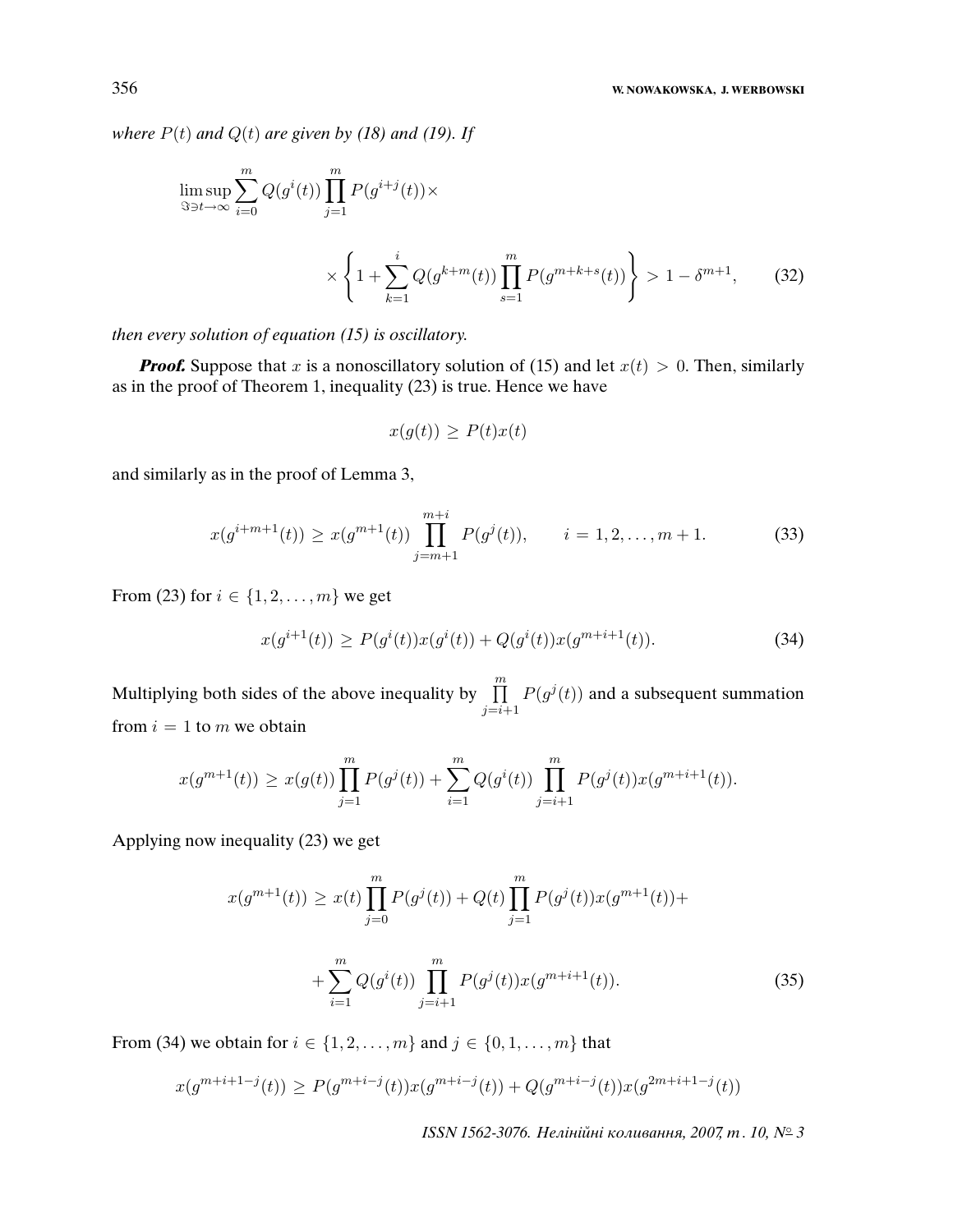### 356 **W. NOWAKOWSKA, J. WERBOWSKI**

where  $P(t)$  and  $Q(t)$  are given by (18) and (19). If

$$
\limsup_{\Im t \to \infty} \sum_{i=0}^{m} Q(g^{i}(t)) \prod_{j=1}^{m} P(g^{i+j}(t)) \times \times \left\{ 1 + \sum_{k=1}^{i} Q(g^{k+m}(t)) \prod_{s=1}^{m} P(g^{m+k+s}(t)) \right\} > 1 - \delta^{m+1}, \quad (32)
$$

then every solution of equation (15) is oscillatory.

**Proof.** Suppose that x is a nonoscillatory solution of (15) and let  $x(t) > 0$ . Then, similarly as in the proof of Theorem 1, inequality (23) is true. Hence we have

$$
x(g(t)) \ge P(t)x(t)
$$

and similarly as in the proof of Lemma 3,

$$
x(g^{i+m+1}(t)) \ge x(g^{m+1}(t)) \prod_{j=m+1}^{m+i} P(g^{j}(t)), \qquad i = 1, 2, \dots, m+1.
$$
 (33)

From (23) for  $i \in \{1, 2, ..., m\}$  we get

$$
x(g^{i+1}(t)) \ge P(g^i(t))x(g^i(t)) + Q(g^i(t))x(g^{m+i+1}(t)).
$$
\n(34)

Multiplying both sides of the above inequality by  $\prod_{i=1}^{m}$  $j=i+1$  $P(g^{j}(t))$  and a subsequent summation from  $i = 1$  to m we obtain

$$
x(g^{m+1}(t)) \ge x(g(t)) \prod_{j=1}^{m} P(g^{j}(t)) + \sum_{i=1}^{m} Q(g^{i}(t)) \prod_{j=i+1}^{m} P(g^{j}(t)) x(g^{m+i+1}(t)).
$$

Applying now inequality (23) we get

$$
x(g^{m+1}(t)) \ge x(t) \prod_{j=0}^{m} P(g^{j}(t)) + Q(t) \prod_{j=1}^{m} P(g^{j}(t)) x(g^{m+1}(t)) +
$$
  
+ 
$$
\sum_{i=1}^{m} Q(g^{i}(t)) \prod_{j=i+1}^{m} P(g^{j}(t)) x(g^{m+i+1}(t)).
$$
 (35)

From (34) we obtain for  $i \in \{1, 2, ..., m\}$  and  $j \in \{0, 1, ..., m\}$  that

$$
x(g^{m+i+1-j}(t)) \ge P(g^{m+i-j}(t))x(g^{m+i-j}(t)) + Q(g^{m+i-j}(t))x(g^{2m+i+1-j}(t))
$$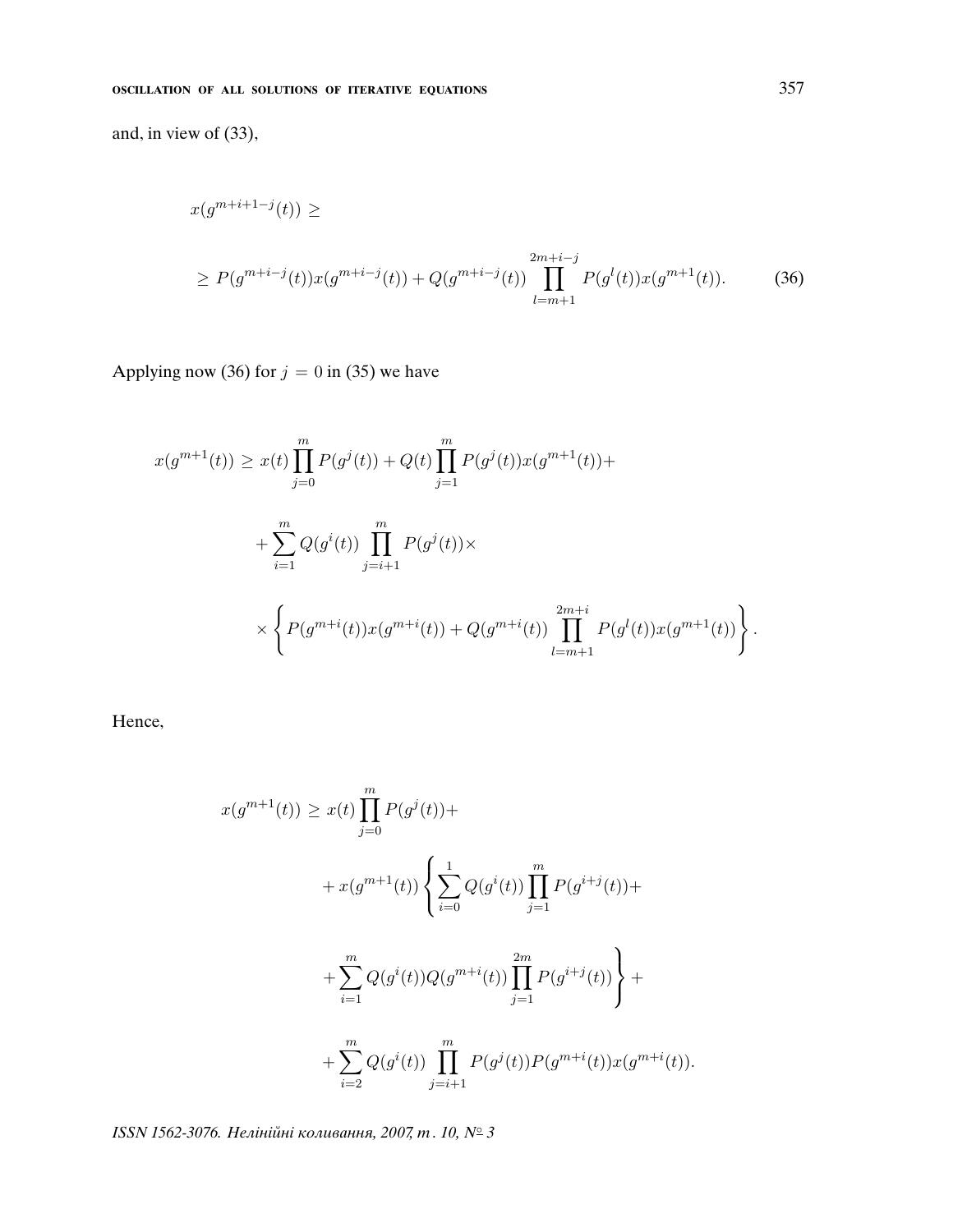and, in view of (33),

$$
x(g^{m+i+1-j}(t)) \ge
$$
  
\n
$$
\ge P(g^{m+i-j}(t))x(g^{m+i-j}(t)) + Q(g^{m+i-j}(t)) \prod_{l=m+1}^{2m+i-j} P(g^l(t))x(g^{m+1}(t)).
$$
\n(36)

Applying now (36) for  $j = 0$  in (35) we have

$$
x(g^{m+1}(t)) \ge x(t) \prod_{j=0}^{m} P(g^{j}(t)) + Q(t) \prod_{j=1}^{m} P(g^{j}(t))x(g^{m+1}(t)) +
$$
  
+ 
$$
\sum_{i=1}^{m} Q(g^{i}(t)) \prod_{j=i+1}^{m} P(g^{j}(t)) \times
$$
  

$$
\times \left\{ P(g^{m+i}(t))x(g^{m+i}(t)) + Q(g^{m+i}(t)) \prod_{l=m+1}^{2m+i} P(g^{l}(t))x(g^{m+1}(t)) \right\}.
$$

Hence,

$$
x(g^{m+1}(t)) \ge x(t) \prod_{j=0}^{m} P(g^{j}(t)) +
$$
  
+  $x(g^{m+1}(t)) \left\{ \sum_{i=0}^{1} Q(g^{i}(t)) \prod_{j=1}^{m} P(g^{i+j}(t)) +$   
+  $\sum_{i=1}^{m} Q(g^{i}(t)) Q(g^{m+i}(t)) \prod_{j=1}^{2m} P(g^{i+j}(t)) \right\} +$   
+  $\sum_{i=2}^{m} Q(g^{i}(t)) \prod_{j=i+1}^{m} P(g^{j}(t)) P(g^{m+i}(t)) x(g^{m+i}(t)).$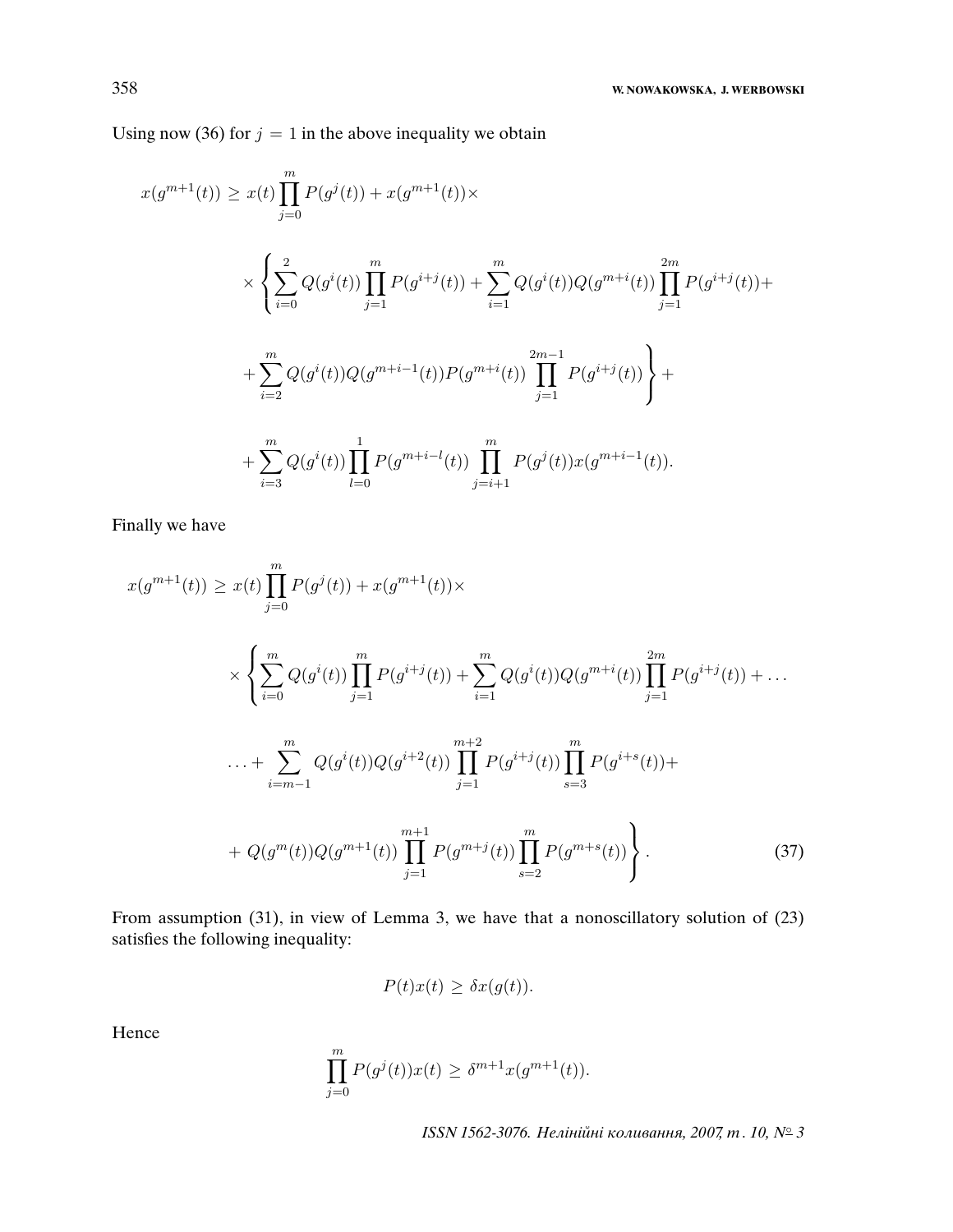Using now (36) for  $j = 1$  in the above inequality we obtain

$$
x(g^{m+1}(t)) \ge x(t) \prod_{j=0}^{m} P(g^{j}(t)) + x(g^{m+1}(t)) \times
$$
  

$$
\times \left\{ \sum_{i=0}^{2} Q(g^{i}(t)) \prod_{j=1}^{m} P(g^{i+j}(t)) + \sum_{i=1}^{m} Q(g^{i}(t)) Q(g^{m+i}(t)) \prod_{j=1}^{2m} P(g^{i+j}(t)) +
$$
  

$$
+ \sum_{i=2}^{m} Q(g^{i}(t)) Q(g^{m+i-1}(t)) P(g^{m+i}(t)) \prod_{j=1}^{2m-1} P(g^{i+j}(t)) \right\} +
$$
  

$$
+ \sum_{i=3}^{m} Q(g^{i}(t)) \prod_{l=0}^{1} P(g^{m+i-l}(t)) \prod_{j=i+1}^{m} P(g^{j}(t)) x(g^{m+i-1}(t)).
$$

Finally we have

$$
x(g^{m+1}(t)) \ge x(t) \prod_{j=0}^{m} P(g^{j}(t)) + x(g^{m+1}(t)) \times
$$
  

$$
\times \left\{ \sum_{i=0}^{m} Q(g^{i}(t)) \prod_{j=1}^{m} P(g^{i+j}(t)) + \sum_{i=1}^{m} Q(g^{i}(t)) Q(g^{m+i}(t)) \prod_{j=1}^{2m} P(g^{i+j}(t)) + \dots + \sum_{i=m-1}^{m} Q(g^{i}(t)) Q(g^{i+2}(t)) \prod_{j=1}^{m+2} P(g^{i+j}(t)) \prod_{s=3}^{m} P(g^{i+s}(t)) +
$$
  

$$
+ Q(g^{m}(t)) Q(g^{m+1}(t)) \prod_{j=1}^{m+1} P(g^{m+j}(t)) \prod_{s=2}^{m} P(g^{m+s}(t)) \right\}.
$$
 (37)

From assumption (31), in view of Lemma 3, we have that a nonoscillatory solution of (23) satisfies the following inequality:

$$
P(t)x(t) \geq \delta x(g(t)).
$$

Hence

$$
\prod_{j=0}^{m} P(g^{j}(t))x(t) \geq \delta^{m+1}x(g^{m+1}(t)).
$$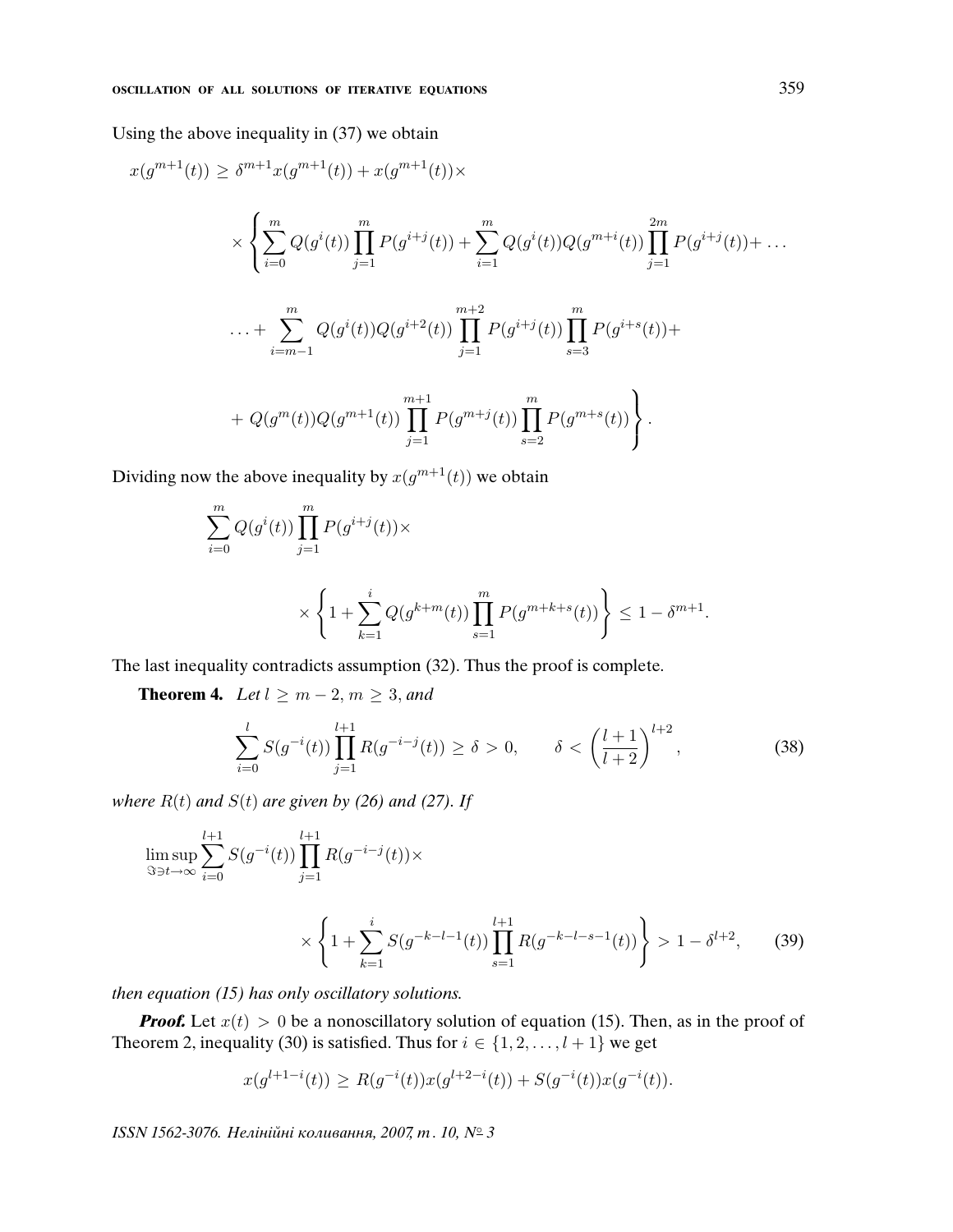Using the above inequality in (37) we obtain

$$
x(g^{m+1}(t)) \geq \delta^{m+1}x(g^{m+1}(t)) + x(g^{m+1}(t)) \times
$$
  

$$
\times \left\{ \sum_{i=0}^{m} Q(g^{i}(t)) \prod_{j=1}^{m} P(g^{i+j}(t)) + \sum_{i=1}^{m} Q(g^{i}(t)) Q(g^{m+i}(t)) \prod_{j=1}^{2m} P(g^{i+j}(t)) + \dots + \sum_{i=m-1}^{m} Q(g^{i}(t)) Q(g^{i+2}(t)) \prod_{j=1}^{m+2} P(g^{i+j}(t)) \prod_{s=3}^{m} P(g^{i+s}(t)) +
$$
  
+ 
$$
Q(g^{m}(t)) Q(g^{m+1}(t)) \prod_{j=1}^{m+1} P(g^{m+j}(t)) \prod_{s=2}^{m} P(g^{m+s}(t)) \right\}.
$$

Dividing now the above inequality by  $x(g^{m+1}(t))$  we obtain

$$
\sum_{i=0}^{m} Q(g^{i}(t)) \prod_{j=1}^{m} P(g^{i+j}(t)) \times \times \left\{ 1 + \sum_{k=1}^{i} Q(g^{k+m}(t)) \prod_{s=1}^{m} P(g^{m+k+s}(t)) \right\} \le 1 - \delta^{m+1}.
$$

The last inequality contradicts assumption (32). Thus the proof is complete.

**Theorem 4.** Let  $l \geq m-2, m \geq 3$ , and

$$
\sum_{i=0}^{l} S(g^{-i}(t)) \prod_{j=1}^{l+1} R(g^{-i-j}(t)) \ge \delta > 0, \qquad \delta < \left(\frac{l+1}{l+2}\right)^{l+2},\tag{38}
$$

where  $R(t)$  and  $S(t)$  are given by (26) and (27). If

$$
\limsup_{\Im\ni t\to\infty}\sum_{i=0}^{l+1}S(g^{-i}(t))\prod_{j=1}^{l+1}R(g^{-i-j}(t))\times
$$

$$
\times \left\{ 1 + \sum_{k=1}^{i} S(g^{-k-l-1}(t)) \prod_{s=1}^{l+1} R(g^{-k-l-s-1}(t)) \right\} > 1 - \delta^{l+2},\qquad(39)
$$

then equation (15) has only oscillatory solutions.

**Proof.** Let  $x(t) > 0$  be a nonoscillatory solution of equation (15). Then, as in the proof of Theorem 2, inequality (30) is satisfied. Thus for  $i \in \{1, 2, ..., l + 1\}$  we get

$$
x(g^{l+1-i}(t)) \ge R(g^{-i}(t))x(g^{l+2-i}(t)) + S(g^{-i}(t))x(g^{-i}(t)).
$$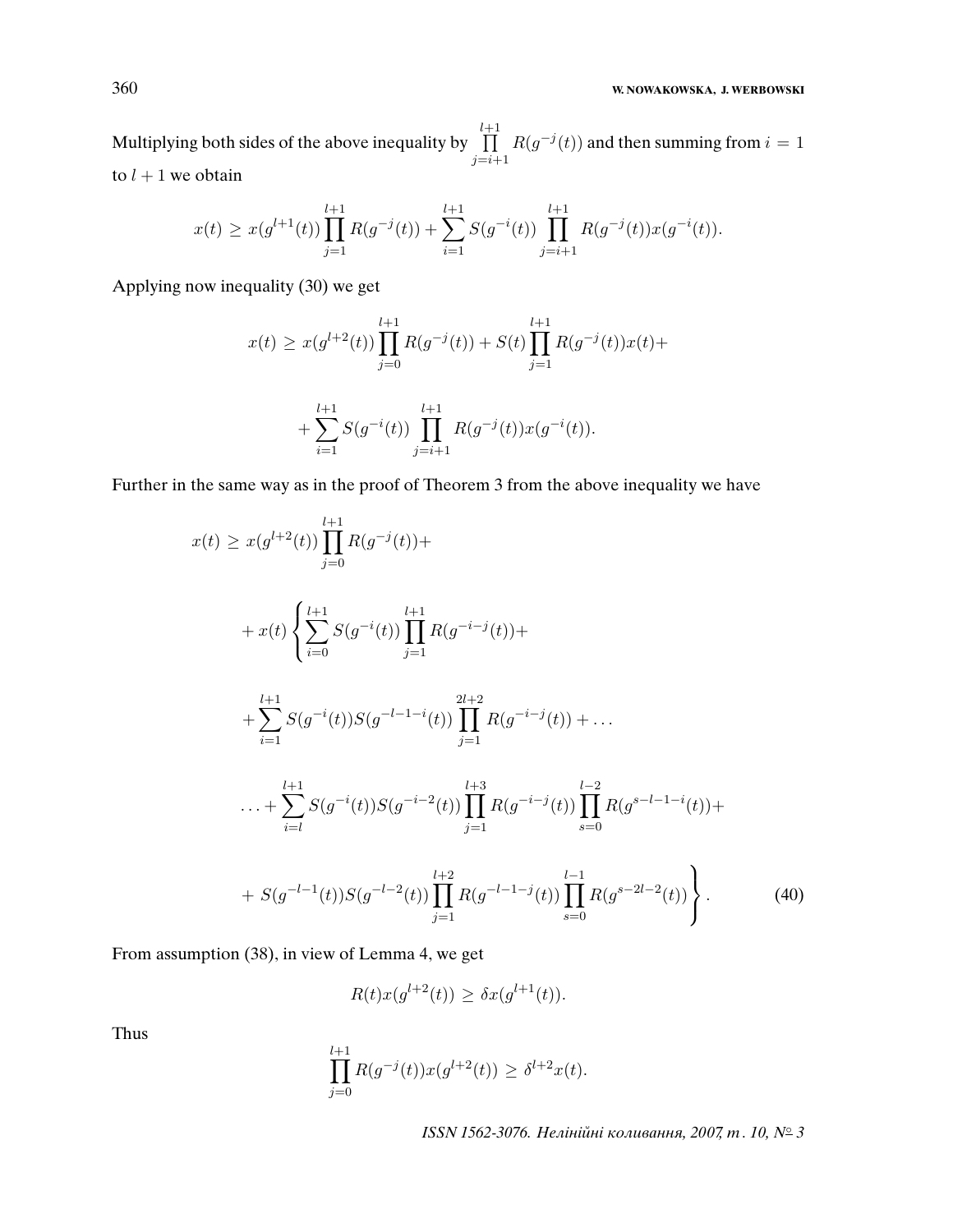Multiplying both sides of the above inequality by  $\prod^{l+1}$  $j=i+1$  $R(g^{-j}(t))$  and then summing from  $i = 1$ to  $l + 1$  we obtain

$$
x(t) \ge x(g^{l+1}(t)) \prod_{j=1}^{l+1} R(g^{-j}(t)) + \sum_{i=1}^{l+1} S(g^{-i}(t)) \prod_{j=i+1}^{l+1} R(g^{-j}(t)) x(g^{-i}(t)).
$$

Applying now inequality (30) we get

$$
x(t) \ge x(g^{l+2}(t)) \prod_{j=0}^{l+1} R(g^{-j}(t)) + S(t) \prod_{j=1}^{l+1} R(g^{-j}(t))x(t) +
$$
  
+ 
$$
\sum_{i=1}^{l+1} S(g^{-i}(t)) \prod_{j=i+1}^{l+1} R(g^{-j}(t))x(g^{-i}(t)).
$$

Further in the same way as in the proof of Theorem 3 from the above inequality we have

$$
x(t) \ge x(g^{l+2}(t)) \prod_{j=0}^{l+1} R(g^{-j}(t)) +
$$
  
+  $x(t) \left\{ \sum_{i=0}^{l+1} S(g^{-i}(t)) \prod_{j=1}^{l+1} R(g^{-i-j}(t)) +$   
+  $\sum_{i=1}^{l+1} S(g^{-i}(t)) S(g^{-l-1-i}(t)) \prod_{j=1}^{2l+2} R(g^{-i-j}(t)) + ...$   
+  $\sum_{i=l}^{l+1} S(g^{-i}(t)) S(g^{-i-2}(t)) \prod_{j=1}^{l+3} R(g^{-i-j}(t)) \prod_{s=0}^{l-2} R(g^{s-l-1-i}(t)) +$   
+  $S(g^{-l-1}(t)) S(g^{-l-2}(t)) \prod_{j=1}^{l+2} R(g^{-l-1-j}(t)) \prod_{s=0}^{l-1} R(g^{s-2l-2}(t)) \right\}.$  (40)

From assumption (38), in view of Lemma 4, we get

$$
R(t)x(g^{l+2}(t)) \geq \delta x(g^{l+1}(t)).
$$

Thus

$$
\prod_{j=0}^{l+1} R(g^{-j}(t))x(g^{l+2}(t)) \ge \delta^{l+2}x(t).
$$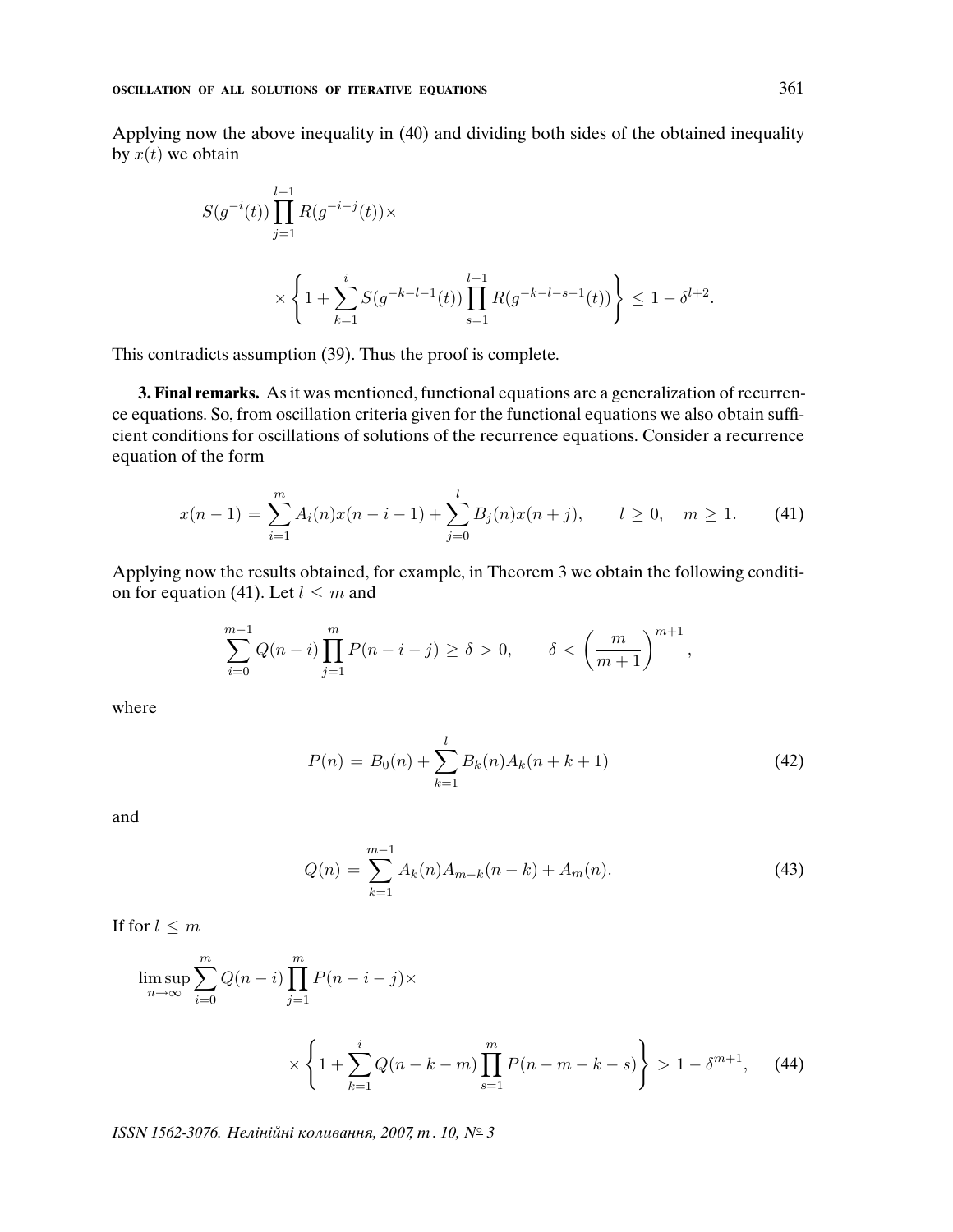Applying now the above inequality in (40) and dividing both sides of the obtained inequality by  $x(t)$  we obtain

$$
S(g^{-i}(t)) \prod_{j=1}^{l+1} R(g^{-i-j}(t)) \times \times \left\{ 1 + \sum_{k=1}^{i} S(g^{-k-l-1}(t)) \prod_{s=1}^{l+1} R(g^{-k-l-s-1}(t)) \right\} \le 1 - \delta^{l+2}.
$$

This contradicts assumption (39). Thus the proof is complete.

**3. Final remarks.** As it was mentioned, functional equations are a generalization of recurrence equations. So, from oscillation criteria given for the functional equations we also obtain sufficient conditions for oscillations of solutions of the recurrence equations. Consider a recurrence equation of the form

$$
x(n-1) = \sum_{i=1}^{m} A_i(n)x(n-i-1) + \sum_{j=0}^{l} B_j(n)x(n+j), \qquad l \ge 0, \quad m \ge 1.
$$
 (41)

Applying now the results obtained, for example, in Theorem 3 we obtain the following condition for equation (41). Let  $l \leq m$  and

$$
\sum_{i=0}^{m-1} Q(n-i) \prod_{j=1}^{m} P(n-i-j) \ge \delta > 0, \qquad \delta < \left(\frac{m}{m+1}\right)^{m+1},
$$

where

$$
P(n) = B_0(n) + \sum_{k=1}^{l} B_k(n) A_k(n + k + 1)
$$
\n(42)

and

$$
Q(n) = \sum_{k=1}^{m-1} A_k(n) A_{m-k}(n-k) + A_m(n).
$$
 (43)

If for  $l \leq m$ 

$$
\limsup_{n \to \infty} \sum_{i=0}^{m} Q(n-i) \prod_{j=1}^{m} P(n-i-j) \times \times \left\{ 1 + \sum_{k=1}^{i} Q(n-k-m) \prod_{s=1}^{m} P(n-m-k-s) \right\} > 1 - \delta^{m+1}, \quad (44)
$$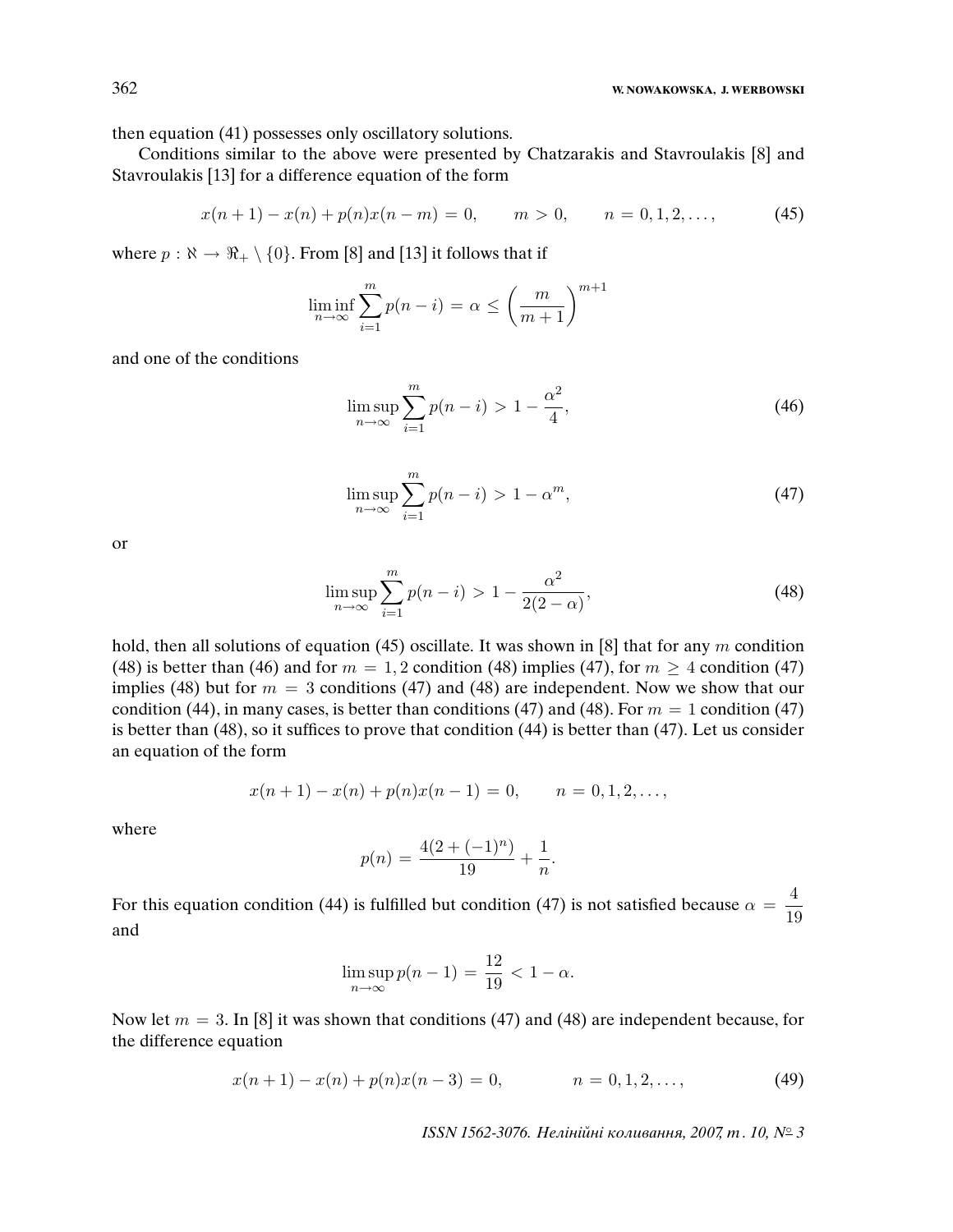then equation (41) possesses only oscillatory solutions.

Conditions similar to the above were presented by Chatzarakis and Stavroulakis [8] and Stavroulakis [13] for a difference equation of the form

$$
x(n+1) - x(n) + p(n)x(n-m) = 0, \qquad m > 0, \qquad n = 0, 1, 2, \dots,\tag{45}
$$

where  $p : \aleph \to \Re_+ \setminus \{0\}$ . From [8] and [13] it follows that if

$$
\liminf_{n \to \infty} \sum_{i=1}^{m} p(n-i) = \alpha \le \left(\frac{m}{m+1}\right)^{m+1}
$$

and one of the conditions

$$
\limsup_{n \to \infty} \sum_{i=1}^{m} p(n-i) > 1 - \frac{\alpha^2}{4},
$$
\n(46)

$$
\limsup_{n \to \infty} \sum_{i=1}^{m} p(n-i) > 1 - \alpha^m,
$$
\n(47)

or

$$
\limsup_{n \to \infty} \sum_{i=1}^{m} p(n-i) > 1 - \frac{\alpha^2}{2(2-\alpha)},
$$
\n(48)

hold, then all solutions of equation (45) oscillate. It was shown in [8] that for any m condition (48) is better than (46) and for  $m = 1, 2$  condition (48) implies (47), for  $m \ge 4$  condition (47) implies (48) but for  $m = 3$  conditions (47) and (48) are independent. Now we show that our condition (44), in many cases, is better than conditions (47) and (48). For  $m = 1$  condition (47) is better than (48), so it suffices to prove that condition (44) is better than (47). Let us consider an equation of the form

$$
x(n + 1) - x(n) + p(n)x(n-1) = 0, \qquad n = 0, 1, 2, \dots,
$$

where

$$
p(n) = \frac{4(2 + (-1)^n)}{19} + \frac{1}{n}.
$$

For this equation condition (44) is fulfilled but condition (47) is not satisfied because  $\alpha = \frac{4}{10}$ 19 and

$$
\limsup_{n \to \infty} p(n-1) = \frac{12}{19} < 1 - \alpha.
$$

Now let  $m = 3$ . In [8] it was shown that conditions (47) and (48) are independent because, for the difference equation

$$
x(n+1) - x(n) + p(n)x(n-3) = 0, \qquad n = 0, 1, 2, \dots,
$$
\n(49)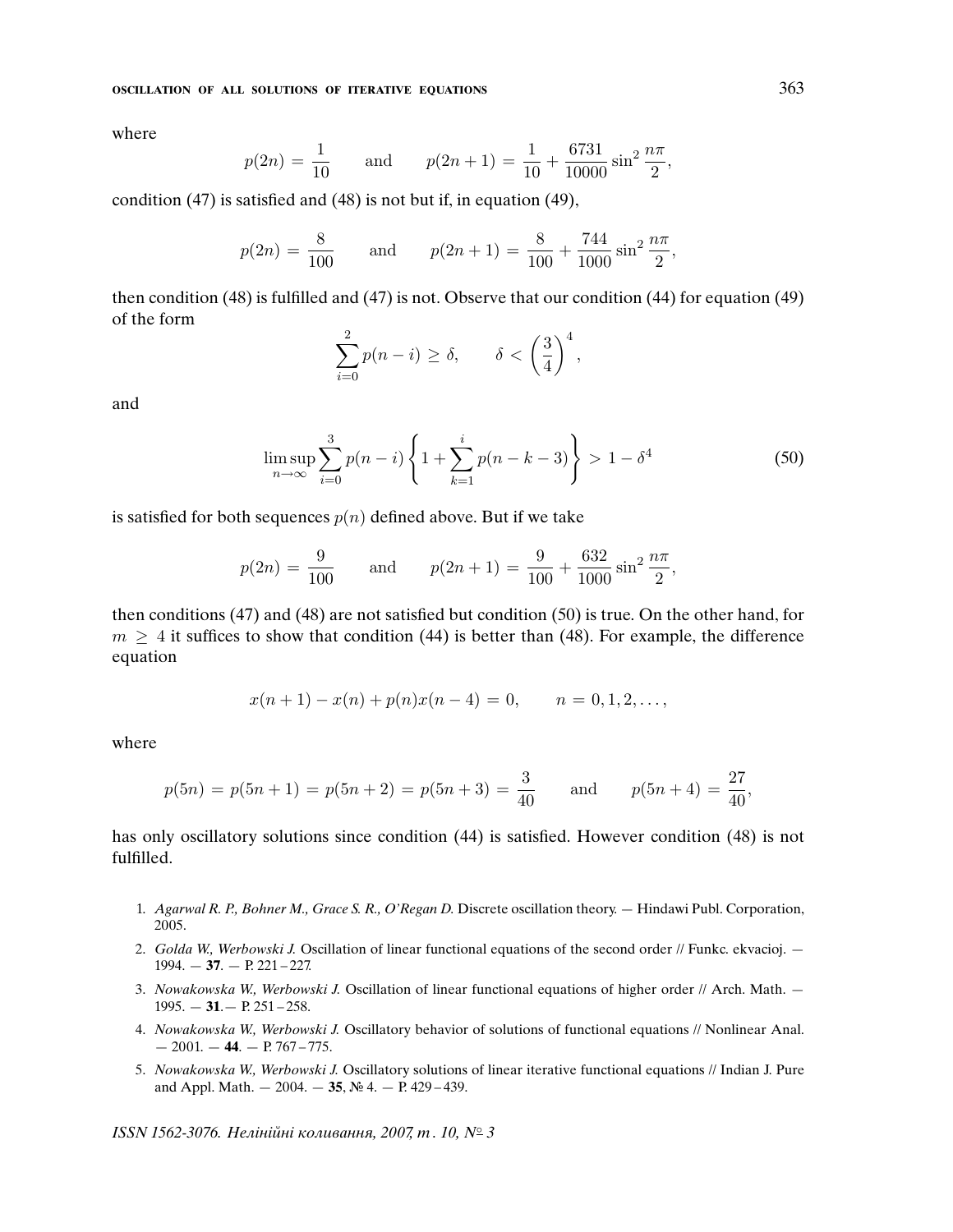where

$$
p(2n) = \frac{1}{10}
$$
 and  $p(2n+1) = \frac{1}{10} + \frac{6731}{10000} \sin^2 \frac{n\pi}{2}$ ,

condition (47) is satisfied and (48) is not but if, in equation (49),

$$
p(2n) = \frac{8}{100}
$$
 and  $p(2n+1) = \frac{8}{100} + \frac{744}{1000} \sin^2 \frac{n\pi}{2}$ ,

then condition (48) is fulfilled and (47) is not. Observe that our condition (44) for equation (49) of the form

$$
\sum_{i=0}^{2} p(n-i) \ge \delta, \qquad \delta < \left(\frac{3}{4}\right)^4,
$$

and

$$
\limsup_{n \to \infty} \sum_{i=0}^{3} p(n-i) \left\{ 1 + \sum_{k=1}^{i} p(n-k-3) \right\} > 1 - \delta^4
$$
 (50)

is satisfied for both sequences  $p(n)$  defined above. But if we take

$$
p(2n) = \frac{9}{100}
$$
 and  $p(2n+1) = \frac{9}{100} + \frac{632}{1000} \sin^2 \frac{n\pi}{2}$ ,

then conditions (47) and (48) are not satisfied but condition (50) is true. On the other hand, for  $m \geq 4$  it suffices to show that condition (44) is better than (48). For example, the difference equation

$$
x(n + 1) - x(n) + p(n)x(n - 4) = 0, \qquad n = 0, 1, 2, \dots,
$$

where

$$
p(5n) = p(5n + 1) = p(5n + 2) = p(5n + 3) = \frac{3}{40}
$$
 and  $p(5n + 4) = \frac{27}{40}$ 

has only oscillatory solutions since condition (44) is satisfied. However condition (48) is not fulfilled.

- 1. Agarwal R. P., Bohner M., Grace S. R., O'Regan D. Discrete oscillation theory. Hindawi Publ. Corporation, 2005.
- 2. Golda W., Werbowski J. Oscillation of linear functional equations of the second order // Funkc. ekvacioj. 1994. — **37**. — P. 221 – 227.
- 3. Nowakowska W., Werbowski J. Oscillation of linear functional equations of higher order // Arch. Math. 1995. — **31**.— P. 251 – 258.
- 4. Nowakowska W., Werbowski J. Oscillatory behavior of solutions of functional equations // Nonlinear Anal.  $-2001. -44. - P. 767 - 775.$
- 5. Nowakowska W., Werbowski J. Oscillatory solutions of linear iterative functional equations // Indian J. Pure and Appl. Math. — 2004. — **35**, № 4. — P. 429 – 439.